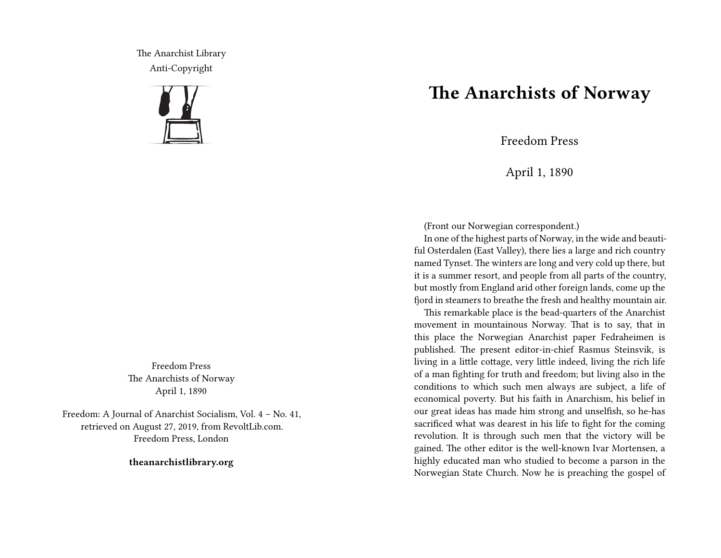The Anarchist Library Anti-Copyright



Freedom Press The Anarchists of Norway April 1, 1890

Freedom: A Journal of Anarchist Socialism, Vol. 4 – No. 41, retrieved on August 27, 2019, from RevoltLib.com. Freedom Press, London

**theanarchistlibrary.org**

## **The Anarchists of Norway**

Freedom Press

April 1, 1890

(Front our Norwegian correspondent.)

In one of the highest parts of Norway, in the wide and beautiful Osterdalen (East Valley), there lies a large and rich country named Tynset. The winters are long and very cold up there, but it is a summer resort, and people from all parts of the country, but mostly from England arid other foreign lands, come up the fjord in steamers to breathe the fresh and healthy mountain air.

This remarkable place is the bead-quarters of the Anarchist movement in mountainous Norway. That is to say, that in this place the Norwegian Anarchist paper Fedraheimen is published. The present editor-in-chief Rasmus Steinsvik, is living in a little cottage, very little indeed, living the rich life of a man fighting for truth and freedom; but living also in the conditions to which such men always are subject, a life of economical poverty. But his faith in Anarchism, his belief in our great ideas has made him strong and unselfish, so he-has sacrificed what was dearest in his life to fight for the coming revolution. It is through such men that the victory will be gained. The other editor is the well-known Ivar Mortensen, a highly educated man who studied to become a parson in the Norwegian State Church. Now he is preaching the gospel of